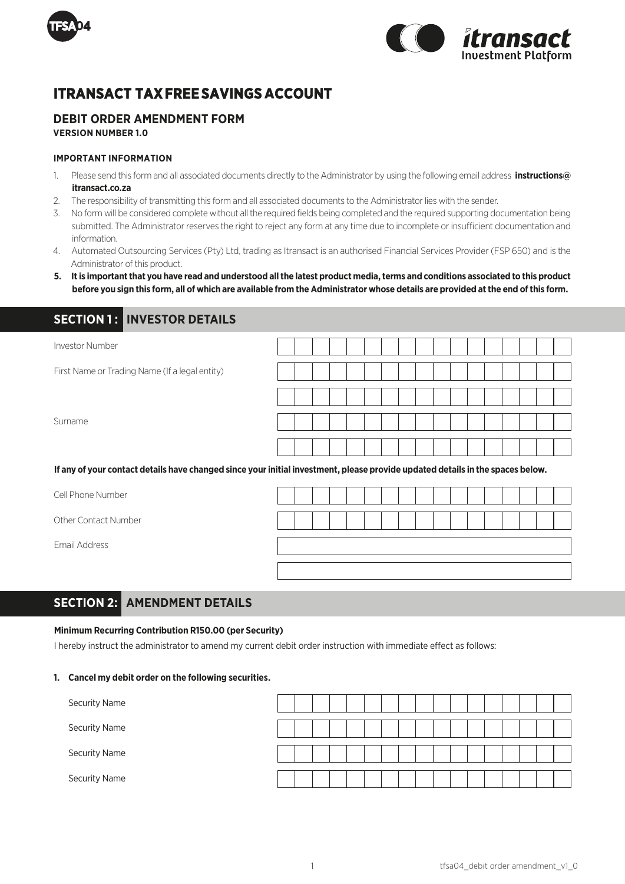



# **ITRANSACT TAX FREE SAVINGS** A**CCOUNT**

## **DEBIT ORDER AMENDMENT FORM**

**VERSION NUMBER 1.0**

## **IMPORTANT INFORMATION**

- 1. Please send this form and all associated documents directly to the Administrator by using the following email address **instructions@ itransact.co.za**
- 2. The responsibility of transmitting this form and all associated documents to the Administrator lies with the sender.
- 3. No form will be considered complete without all the required fields being completed and the required supporting documentation being submitted. The Administrator reserves the right to reject any form at any time due to incomplete or insufficient documentation and information.
- 4. Automated Outsourcing Services (Pty) Ltd, trading as Itransact is an authorised Financial Services Provider (FSP 650) and is the Administrator of this product.
- **5. It is important that you have read and understood all the latest product media, terms and conditions associated to this product before you sign this form, all of which are available from the Administrator whose details are provided at the end of this form.**

## **SECTION 1: INVESTOR DETAILS**

| Investor Number                                                                                                                |  |  |  |  |  |  |  |  |  |
|--------------------------------------------------------------------------------------------------------------------------------|--|--|--|--|--|--|--|--|--|
| First Name or Trading Name (If a legal entity)                                                                                 |  |  |  |  |  |  |  |  |  |
|                                                                                                                                |  |  |  |  |  |  |  |  |  |
| Surname                                                                                                                        |  |  |  |  |  |  |  |  |  |
|                                                                                                                                |  |  |  |  |  |  |  |  |  |
| If any of your contact details have changed since your initial investment, please provide updated details in the spaces below. |  |  |  |  |  |  |  |  |  |
| Cell Phone Number                                                                                                              |  |  |  |  |  |  |  |  |  |

Other Contact Number

Email Address

|  |  |  |  |  |  |  |  | $\mathbf{1}$                          |  |
|--|--|--|--|--|--|--|--|---------------------------------------|--|
|  |  |  |  |  |  |  |  |                                       |  |
|  |  |  |  |  |  |  |  | $\vert \vert$ $\vert$ $\vert$ $\vert$ |  |
|  |  |  |  |  |  |  |  |                                       |  |
|  |  |  |  |  |  |  |  |                                       |  |
|  |  |  |  |  |  |  |  |                                       |  |
|  |  |  |  |  |  |  |  |                                       |  |
|  |  |  |  |  |  |  |  |                                       |  |
|  |  |  |  |  |  |  |  |                                       |  |

## **SECTION 2: AMENDMENT DETAILS**

### **Minimum Recurring Contribution R150.00 (per Security)**

I hereby instruct the administrator to amend my current debit order instruction with immediate effect as follows:

### **1. Cancel my debit order on the following securities.**

| <b>Security Name</b> |  |  |  |  |  |  |  |  |  |
|----------------------|--|--|--|--|--|--|--|--|--|
| <b>Security Name</b> |  |  |  |  |  |  |  |  |  |
| <b>Security Name</b> |  |  |  |  |  |  |  |  |  |
| <b>Security Name</b> |  |  |  |  |  |  |  |  |  |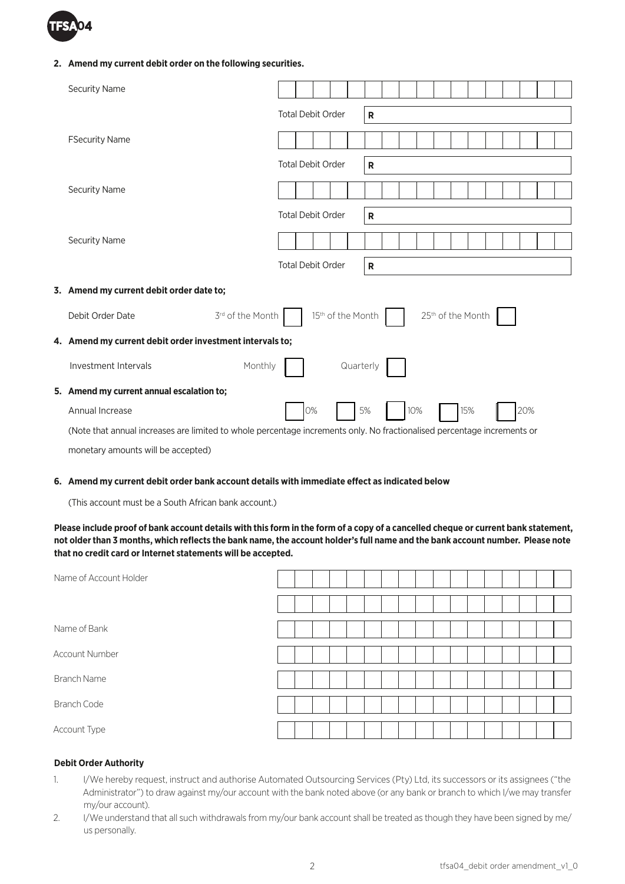

## **2. Amend my current debit order on the following securities.**

| <b>Security Name</b>                                                                                                    |                          |                               |           |           |     |  |                   |  |     |  |
|-------------------------------------------------------------------------------------------------------------------------|--------------------------|-------------------------------|-----------|-----------|-----|--|-------------------|--|-----|--|
|                                                                                                                         | <b>Total Debit Order</b> |                               |           | R         |     |  |                   |  |     |  |
| <b>FSecurity Name</b>                                                                                                   |                          |                               |           |           |     |  |                   |  |     |  |
|                                                                                                                         | <b>Total Debit Order</b> |                               |           | R         |     |  |                   |  |     |  |
| <b>Security Name</b>                                                                                                    |                          |                               |           |           |     |  |                   |  |     |  |
|                                                                                                                         | <b>Total Debit Order</b> |                               |           | ${\sf R}$ |     |  |                   |  |     |  |
| <b>Security Name</b>                                                                                                    |                          |                               |           |           |     |  |                   |  |     |  |
|                                                                                                                         | <b>Total Debit Order</b> |                               |           | R         |     |  |                   |  |     |  |
| 3. Amend my current debit order date to;                                                                                |                          |                               |           |           |     |  |                   |  |     |  |
| 3rd of the Month<br>Debit Order Date                                                                                    |                          | 15 <sup>th</sup> of the Month |           |           |     |  | 25th of the Month |  |     |  |
| 4. Amend my current debit order investment intervals to;                                                                |                          |                               |           |           |     |  |                   |  |     |  |
| Investment Intervals<br>Monthly                                                                                         |                          |                               | Quarterly |           |     |  |                   |  |     |  |
| 5. Amend my current annual escalation to;                                                                               |                          |                               |           |           |     |  |                   |  |     |  |
| Annual Increase                                                                                                         | 0%                       |                               |           | 5%        | 10% |  | 15%               |  | 20% |  |
| (Note that annual increases are limited to whole percentage increments only. No fractionalised percentage increments or |                          |                               |           |           |     |  |                   |  |     |  |
|                                                                                                                         |                          |                               |           |           |     |  |                   |  |     |  |

monetary amounts will be accepted)

## **6. Amend my current debit order bank account details with immediate effect as indicated below**

(This account must be a South African bank account.)

**Please include proof of bank account details with this form in the form of a copy of a cancelled cheque or current bank statement, not older than 3 months, which reflects the bank name, the account holder's full name and the bank account number. Please note that no credit card or Internet statements will be accepted.**

| Name of Account Holder |  |  |  |  |  |  |  |  |  |
|------------------------|--|--|--|--|--|--|--|--|--|
|                        |  |  |  |  |  |  |  |  |  |
| Name of Bank           |  |  |  |  |  |  |  |  |  |
| Account Number         |  |  |  |  |  |  |  |  |  |
| <b>Branch Name</b>     |  |  |  |  |  |  |  |  |  |
| <b>Branch Code</b>     |  |  |  |  |  |  |  |  |  |
| Account Type           |  |  |  |  |  |  |  |  |  |

## **Debit Order Authority**

- 1. I/We hereby request, instruct and authorise Automated Outsourcing Services (Pty) Ltd, its successors or its assignees ("the Administrator") to draw against my/our account with the bank noted above (or any bank or branch to which I/we may transfer my/our account).
- 2. I/We understand that all such withdrawals from my/our bank account shall be treated as though they have been signed by me/ us personally.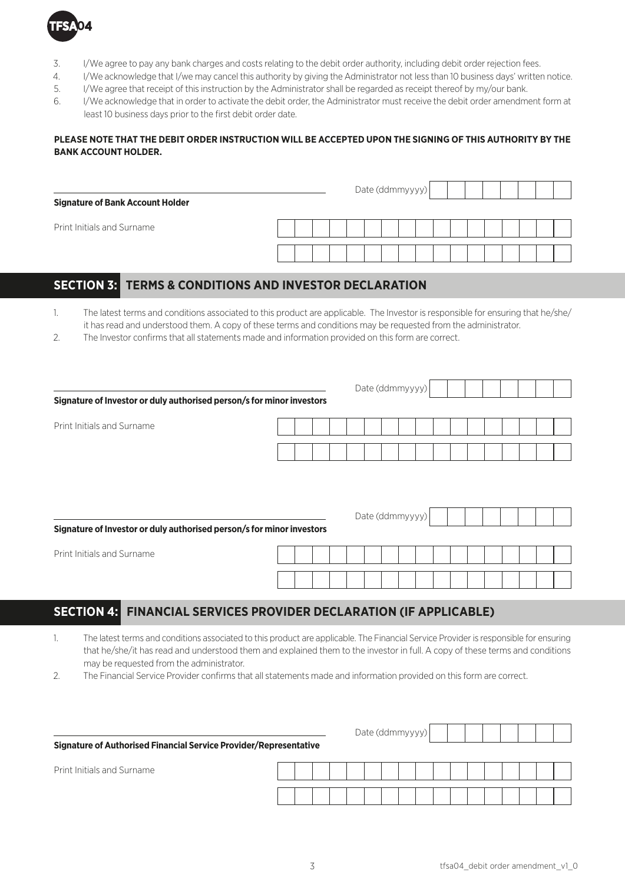

- 3. I/We agree to pay any bank charges and costs relating to the debit order authority, including debit order rejection fees.
- 4. I/We acknowledge that I/we may cancel this authority by giving the Administrator not less than 10 business days' written notice.
- 5. I/We agree that receipt of this instruction by the Administrator shall be regarded as receipt thereof by my/our bank.
- 6. I/We acknowledge that in order to activate the debit order, the Administrator must receive the debit order amendment form at least 10 business days prior to the first debit order date.

## **PLEASE NOTE THAT THE DEBIT ORDER INSTRUCTION WILL BE ACCEPTED UPON THE SIGNING OF THIS AUTHORITY BY THE BANK ACCOUNT HOLDER.**

| <b>Signature of Bank Account Holder</b> |  |  |  | Date (ddmmyyyy) |  |  |  |  |  |
|-----------------------------------------|--|--|--|-----------------|--|--|--|--|--|
| Print Initials and Surname              |  |  |  |                 |  |  |  |  |  |
|                                         |  |  |  |                 |  |  |  |  |  |

## **SECTION 3: TERMS & CONDITIONS AND INVESTOR DECLARATION**

1. The latest terms and conditions associated to this product are applicable. The Investor is responsible for ensuring that he/she/ it has read and understood them. A copy of these terms and conditions may be requested from the administrator.

2. The Investor confirms that all statements made and information provided on this form are correct.

|                                                                       |  |  | Date (ddmmyyyy) |  |  |  |  |  |
|-----------------------------------------------------------------------|--|--|-----------------|--|--|--|--|--|
| Signature of Investor or duly authorised person/s for minor investors |  |  |                 |  |  |  |  |  |
| Print Initials and Surname                                            |  |  |                 |  |  |  |  |  |
|                                                                       |  |  |                 |  |  |  |  |  |
|                                                                       |  |  |                 |  |  |  |  |  |
|                                                                       |  |  |                 |  |  |  |  |  |
|                                                                       |  |  | Date (ddmmyyyy) |  |  |  |  |  |
| Signature of Investor or duly authorised person/s for minor investors |  |  |                 |  |  |  |  |  |
| Print Initials and Surname                                            |  |  |                 |  |  |  |  |  |
|                                                                       |  |  |                 |  |  |  |  |  |

## **SECTION 4: FINANCIAL SERVICES PROVIDER DECLARATION (IF APPLICABLE)**

- 1. The latest terms and conditions associated to this product are applicable. The Financial Service Provider is responsible for ensuring that he/she/it has read and understood them and explained them to the investor in full. A copy of these terms and conditions may be requested from the administrator.
- 2. The Financial Service Provider confirms that all statements made and information provided on this form are correct.

| Signature of Authorised Financial Service Provider/Representative |  |  |  | Date (ddmmyyyy) |  |  |  |  |  |
|-------------------------------------------------------------------|--|--|--|-----------------|--|--|--|--|--|
| <b>Print Initials and Surname</b>                                 |  |  |  |                 |  |  |  |  |  |
|                                                                   |  |  |  |                 |  |  |  |  |  |